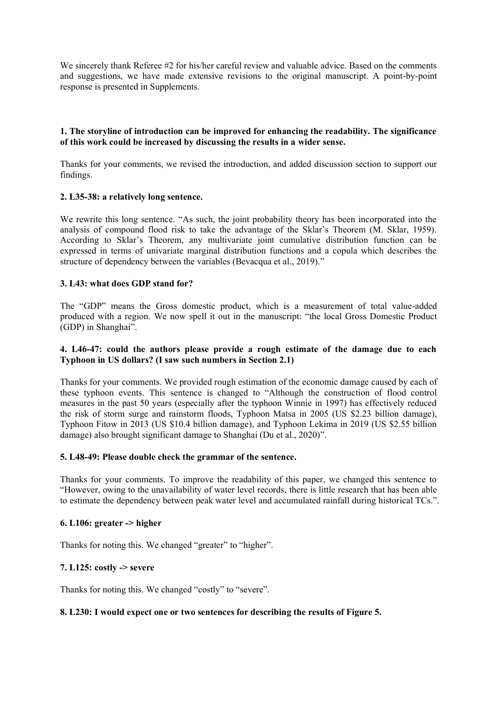We sincerely thank Referee #2 for his/her careful review and valuable advice. Based on the comments and suggestions, we have made extensive revisions to the original manuscript. A point-by-point response is presented in Supplements.

# **1. The storyline of introduction can be improved for enhancing the readability. The significance of this work could be increased by discussing the results in a wider sense.**

Thanks for your comments, we revised the introduction, and added discussion section to support our findings.

# **2. L35-38: a relatively long sentence.**

We rewrite this long sentence. "As such, the joint probability theory has been incorporated into the analysis of compound flood risk to take the advantage of the Sklar's Theorem (M. Sklar, 1959). According to Sklar's Theorem, any multivariate joint cumulative distribution function can be expressed in terms of univariate marginal distribution functions and a copula which describes the structure of dependency between the variables (Bevacqua et al., 2019)."

# **3. L43: what does GDP stand for?**

The "GDP" means the Gross domestic product, which is a measurement of total value-added produced with a region. We now spell it out in the manuscript: "the local Gross Domestic Product (GDP) in Shanghai".

# **4. L46-47: could the authors please provide a rough estimate of the damage due to each Typhoon in US dollars? (I saw such numbers in Section 2.1)**

Thanks for your comments. We provided rough estimation of the economic damage caused by each of these typhoon events. This sentence is changed to "Although the construction of flood control measures in the past 50 years (especially after the typhoon Winnie in 1997) has effectively reduced the risk of storm surge and rainstorm floods, Typhoon Matsa in 2005 (US \$2.23 billion damage), Typhoon Fitow in 2013 (US \$10.4 billion damage), and Typhoon Lekima in 2019 (US \$2.55 billion damage) also brought significant damage to Shanghai (Du et al., 2020)".

#### **5. L48-49: Please double check the grammar of the sentence.**

Thanks for your comments. To improve the readability of this paper, we changed this sentence to "However, owing to the unavailability of water level records, there is little research that has been able to estimate the dependency between peak water level and accumulated rainfall during historical TCs.".

#### **6. L106: greater -> higher**

Thanks for noting this. We changed "greater" to "higher".

#### **7. L125: costly -> severe**

Thanks for noting this. We changed "costly" to "severe".

#### **8. L230: I would expect one or two sentences for describing the results of Figure 5.**